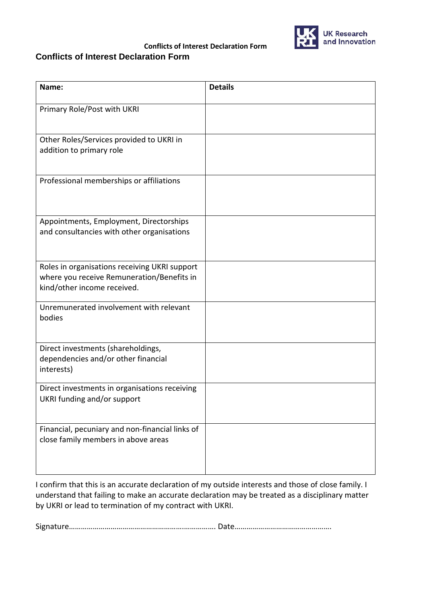

## **Conflicts of Interest Declaration Form Conflicts of Interest Declaration Form**

| Name:                                                                                                                      | <b>Details</b> |
|----------------------------------------------------------------------------------------------------------------------------|----------------|
| Primary Role/Post with UKRI                                                                                                |                |
| Other Roles/Services provided to UKRI in<br>addition to primary role                                                       |                |
| Professional memberships or affiliations                                                                                   |                |
| Appointments, Employment, Directorships<br>and consultancies with other organisations                                      |                |
| Roles in organisations receiving UKRI support<br>where you receive Remuneration/Benefits in<br>kind/other income received. |                |
| Unremunerated involvement with relevant<br>bodies                                                                          |                |
| Direct investments (shareholdings,<br>dependencies and/or other financial<br>interests)                                    |                |
| Direct investments in organisations receiving<br>UKRI funding and/or support                                               |                |
| Financial, pecuniary and non-financial links of<br>close family members in above areas                                     |                |

I confirm that this is an accurate declaration of my outside interests and those of close family. I understand that failing to make an accurate declaration may be treated as a disciplinary matter by UKRI or lead to termination of my contract with UKRI.

Signature………………………………………………….……………. Date………………………………………….